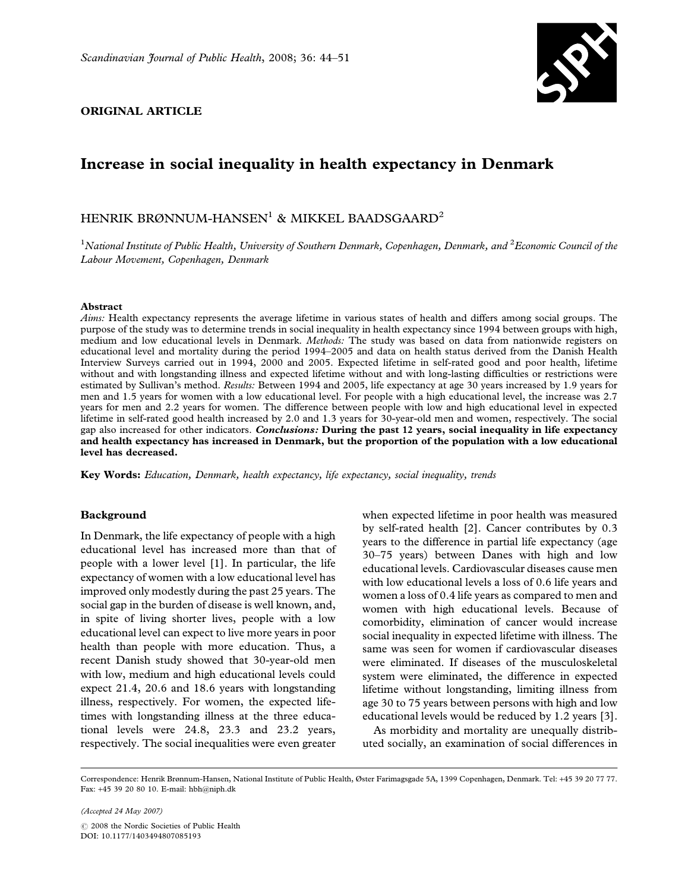### ORIGINAL ARTICLE



# Increase in social inequality in health expectancy in Denmark

## HENRIK BRØNNUM-HANSEN<sup>1</sup> & MIKKEL BAADSGAARD<sup>2</sup>

 $^1$ National Institute of Public Health, University of Southern Denmark, Copenhagen, Denmark, and  $^2$ Economic Council of the Labour Movement, Copenhagen, Denmark

#### Abstract

 $Aims$ : Health expectancy represents the average lifetime in various states of health and differs among social groups. The purpose of the study was to determine trends in social inequality in health expectancy since 1994 between groups with high, medium and low educational levels in Denmark. Methods: The study was based on data from nationwide registers on educational level and mortality during the period 1994–2005 and data on health status derived from the Danish Health Interview Surveys carried out in 1994, 2000 and 2005. Expected lifetime in self-rated good and poor health, lifetime without and with longstanding illness and expected lifetime without and with long-lasting difficulties or restrictions were estimated by Sullivan's method. Results: Between 1994 and 2005, life expectancy at age 30 years increased by 1.9 years for men and 1.5 years for women with a low educational level. For people with a high educational level, the increase was 2.7 years for men and 2.2 years for women. The difference between people with low and high educational level in expected lifetime in self-rated good health increased by 2.0 and 1.3 years for 30-year-old men and women, respectively. The social gap also increased for other indicators. Conclusions: During the past 12 years, social inequality in life expectancy and health expectancy has increased in Denmark, but the proportion of the population with a low educational level has decreased.

Key Words: Education, Denmark, health expectancy, life expectancy, social inequality, trends

#### Background

In Denmark, the life expectancy of people with a high educational level has increased more than that of people with a lower level [1]. In particular, the life expectancy of women with a low educational level has improved only modestly during the past 25 years. The social gap in the burden of disease is well known, and, in spite of living shorter lives, people with a low educational level can expect to live more years in poor health than people with more education. Thus, a recent Danish study showed that 30-year-old men with low, medium and high educational levels could expect 21.4, 20.6 and 18.6 years with longstanding illness, respectively. For women, the expected lifetimes with longstanding illness at the three educational levels were 24.8, 23.3 and 23.2 years, respectively. The social inequalities were even greater when expected lifetime in poor health was measured by self-rated health [2]. Cancer contributes by 0.3 years to the difference in partial life expectancy (age 30–75 years) between Danes with high and low educational levels. Cardiovascular diseases cause men with low educational levels a loss of 0.6 life years and women a loss of 0.4 life years as compared to men and women with high educational levels. Because of comorbidity, elimination of cancer would increase social inequality in expected lifetime with illness. The same was seen for women if cardiovascular diseases were eliminated. If diseases of the musculoskeletal system were eliminated, the difference in expected lifetime without longstanding, limiting illness from age 30 to 75 years between persons with high and low educational levels would be reduced by 1.2 years [3].

As morbidity and mortality are unequally distributed socially, an examination of social differences in

Correspondence: Henrik Brønnum-Hansen, National Institute of Public Health, Øster Farimagsgade 5A, 1399 Copenhagen, Denmark. Tel: +45 39 20 77 77. Fax: +45 39 20 80 10. E-mail: hbh@niph.dk

(Accepted 24 May 2007)  $Q$  2008 the Nordic Societies of Public Health DOI: 10.1177/1403494807085193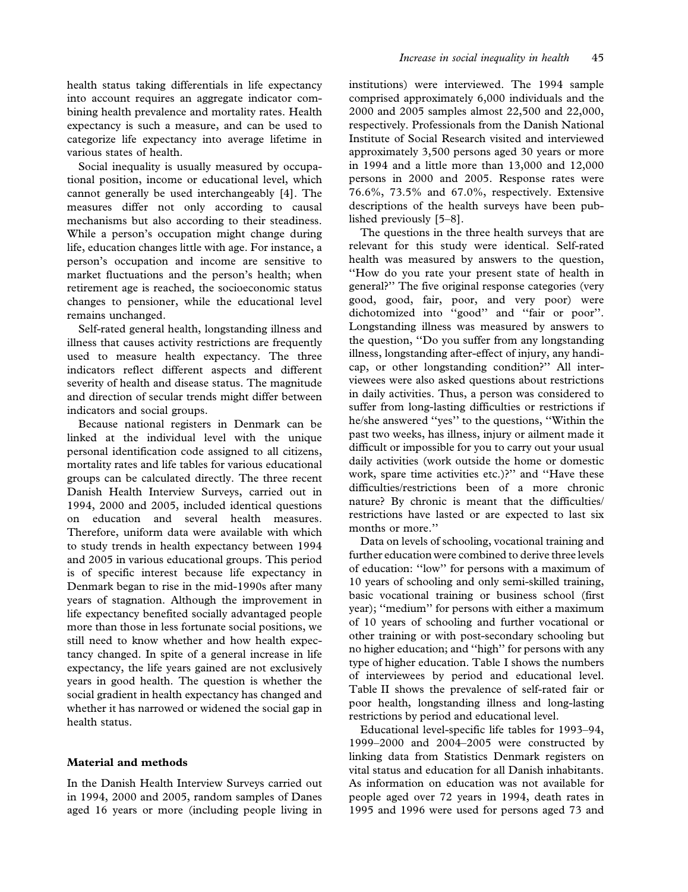health status taking differentials in life expectancy into account requires an aggregate indicator combining health prevalence and mortality rates. Health expectancy is such a measure, and can be used to categorize life expectancy into average lifetime in various states of health.

Social inequality is usually measured by occupational position, income or educational level, which cannot generally be used interchangeably [4]. The measures differ not only according to causal mechanisms but also according to their steadiness. While a person's occupation might change during life, education changes little with age. For instance, a person's occupation and income are sensitive to market fluctuations and the person's health; when retirement age is reached, the socioeconomic status changes to pensioner, while the educational level remains unchanged.

Self-rated general health, longstanding illness and illness that causes activity restrictions are frequently used to measure health expectancy. The three indicators reflect different aspects and different severity of health and disease status. The magnitude and direction of secular trends might differ between indicators and social groups.

Because national registers in Denmark can be linked at the individual level with the unique personal identification code assigned to all citizens, mortality rates and life tables for various educational groups can be calculated directly. The three recent Danish Health Interview Surveys, carried out in 1994, 2000 and 2005, included identical questions on education and several health measures. Therefore, uniform data were available with which to study trends in health expectancy between 1994 and 2005 in various educational groups. This period is of specific interest because life expectancy in Denmark began to rise in the mid-1990s after many years of stagnation. Although the improvement in life expectancy benefited socially advantaged people more than those in less fortunate social positions, we still need to know whether and how health expectancy changed. In spite of a general increase in life expectancy, the life years gained are not exclusively years in good health. The question is whether the social gradient in health expectancy has changed and whether it has narrowed or widened the social gap in health status.

#### Material and methods

In the Danish Health Interview Surveys carried out in 1994, 2000 and 2005, random samples of Danes aged 16 years or more (including people living in institutions) were interviewed. The 1994 sample comprised approximately 6,000 individuals and the 2000 and 2005 samples almost 22,500 and 22,000, respectively. Professionals from the Danish National Institute of Social Research visited and interviewed approximately 3,500 persons aged 30 years or more in 1994 and a little more than 13,000 and 12,000 persons in 2000 and 2005. Response rates were 76.6%, 73.5% and 67.0%, respectively. Extensive descriptions of the health surveys have been published previously [5–8].

The questions in the three health surveys that are relevant for this study were identical. Self-rated health was measured by answers to the question, ''How do you rate your present state of health in general?'' The five original response categories (very good, good, fair, poor, and very poor) were dichotomized into ''good'' and ''fair or poor''. Longstanding illness was measured by answers to the question, ''Do you suffer from any longstanding illness, longstanding after-effect of injury, any handicap, or other longstanding condition?'' All interviewees were also asked questions about restrictions in daily activities. Thus, a person was considered to suffer from long-lasting difficulties or restrictions if he/she answered ''yes'' to the questions, ''Within the past two weeks, has illness, injury or ailment made it difficult or impossible for you to carry out your usual daily activities (work outside the home or domestic work, spare time activities etc.)?'' and ''Have these difficulties/restrictions been of a more chronic nature? By chronic is meant that the difficulties/ restrictions have lasted or are expected to last six months or more.''

Data on levels of schooling, vocational training and further education were combined to derive three levels of education: ''low'' for persons with a maximum of 10 years of schooling and only semi-skilled training, basic vocational training or business school (first year); ''medium'' for persons with either a maximum of 10 years of schooling and further vocational or other training or with post-secondary schooling but no higher education; and ''high'' for persons with any type of higher education. Table I shows the numbers of interviewees by period and educational level. Table II shows the prevalence of self-rated fair or poor health, longstanding illness and long-lasting restrictions by period and educational level.

Educational level-specific life tables for 1993–94, 1999–2000 and 2004–2005 were constructed by linking data from Statistics Denmark registers on vital status and education for all Danish inhabitants. As information on education was not available for people aged over 72 years in 1994, death rates in 1995 and 1996 were used for persons aged 73 and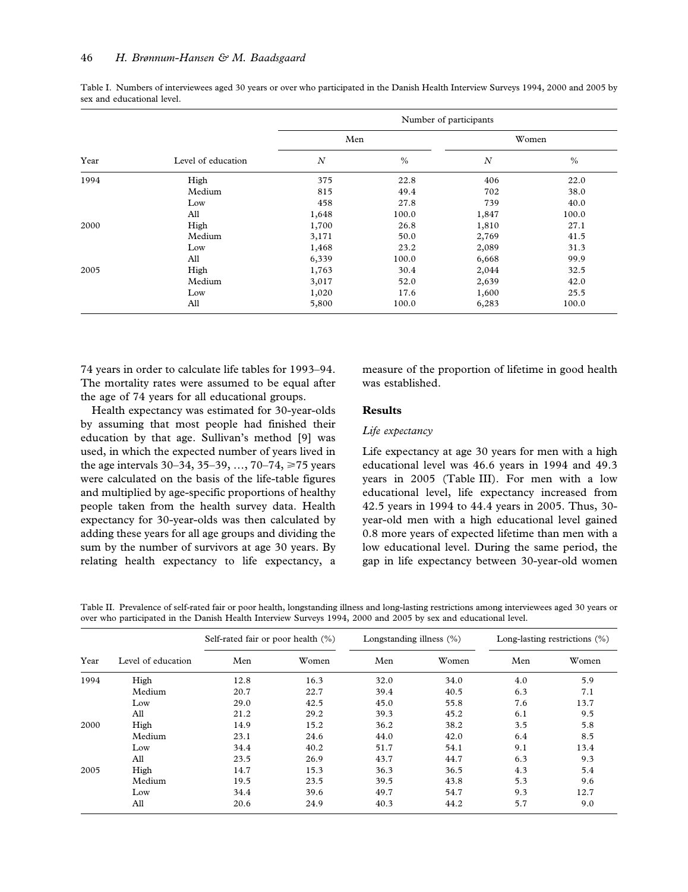| Table I. Numbers of interviewees aged 30 years or over who participated in the Danish Health Interview Surveys 1994, 2000 and 2005 by |  |  |  |
|---------------------------------------------------------------------------------------------------------------------------------------|--|--|--|
| sex and educational level.                                                                                                            |  |  |  |

|      |                    | Number of participants |               |                  |               |  |  |  |
|------|--------------------|------------------------|---------------|------------------|---------------|--|--|--|
|      |                    | Men                    |               |                  | Women         |  |  |  |
| Year | Level of education | $\boldsymbol{N}$       | $\frac{0}{0}$ | $\boldsymbol{N}$ | $\frac{0}{0}$ |  |  |  |
| 1994 | High               | 375                    | 22.8          | 406              | 22.0          |  |  |  |
|      | Medium             | 815                    | 49.4          | 702              | 38.0          |  |  |  |
|      | Low                | 458                    | 27.8          | 739              | 40.0          |  |  |  |
|      | All                | 1,648                  | 100.0         | 1,847            | 100.0         |  |  |  |
| 2000 | High               | 1,700                  | 26.8          | 1,810            | 27.1          |  |  |  |
|      | Medium             | 3,171                  | 50.0          | 2,769            | 41.5          |  |  |  |
|      | Low                | 1,468                  | 23.2          | 2,089            | 31.3          |  |  |  |
|      | All                | 6,339                  | 100.0         | 6,668            | 99.9          |  |  |  |
| 2005 | High               | 1,763                  | 30.4          | 2,044            | 32.5          |  |  |  |
|      | Medium             | 3,017                  | 52.0          | 2,639            | 42.0          |  |  |  |
|      | Low                | 1,020                  | 17.6          | 1,600            | 25.5          |  |  |  |
|      | All                | 5,800                  | 100.0         | 6,283            | 100.0         |  |  |  |

74 years in order to calculate life tables for 1993–94. The mortality rates were assumed to be equal after the age of 74 years for all educational groups.

Health expectancy was estimated for 30-year-olds by assuming that most people had finished their education by that age. Sullivan's method [9] was used, in which the expected number of years lived in the age intervals 30–34, 35–39, …, 70–74, *>*75 years were calculated on the basis of the life-table figures and multiplied by age-specific proportions of healthy people taken from the health survey data. Health expectancy for 30-year-olds was then calculated by adding these years for all age groups and dividing the sum by the number of survivors at age 30 years. By relating health expectancy to life expectancy, a measure of the proportion of lifetime in good health was established.

#### Results

#### Life expectancy

Life expectancy at age 30 years for men with a high educational level was 46.6 years in 1994 and 49.3 years in 2005 (Table III). For men with a low educational level, life expectancy increased from 42.5 years in 1994 to 44.4 years in 2005. Thus, 30 year-old men with a high educational level gained 0.8 more years of expected lifetime than men with a low educational level. During the same period, the gap in life expectancy between 30-year-old women

Table II. Prevalence of self-rated fair or poor health, longstanding illness and long-lasting restrictions among interviewees aged 30 years or over who participated in the Danish Health Interview Surveys 1994, 2000 and 2005 by sex and educational level.

| Year | Level of education | Self-rated fair or poor health (%) |       | Longstanding illness $(\%)$ |       | Long-lasting restrictions $(\%)$ |       |
|------|--------------------|------------------------------------|-------|-----------------------------|-------|----------------------------------|-------|
|      |                    | Men                                | Women | Men                         | Women | Men                              | Women |
| 1994 | High               | 12.8                               | 16.3  | 32.0                        | 34.0  | 4.0                              | 5.9   |
|      | Medium             | 20.7                               | 22.7  | 39.4                        | 40.5  | 6.3                              | 7.1   |
|      | Low                | 29.0                               | 42.5  | 45.0                        | 55.8  | 7.6                              | 13.7  |
|      | All                | 21.2                               | 29.2  | 39.3                        | 45.2  | 6.1                              | 9.5   |
| 2000 | High               | 14.9                               | 15.2  | 36.2                        | 38.2  | 3.5                              | 5.8   |
|      | Medium             | 23.1                               | 24.6  | 44.0                        | 42.0  | 6.4                              | 8.5   |
|      | Low                | 34.4                               | 40.2  | 51.7                        | 54.1  | 9.1                              | 13.4  |
|      | All                | 23.5                               | 26.9  | 43.7                        | 44.7  | 6.3                              | 9.3   |
| 2005 | High               | 14.7                               | 15.3  | 36.3                        | 36.5  | 4.3                              | 5.4   |
|      | Medium             | 19.5                               | 23.5  | 39.5                        | 43.8  | 5.3                              | 9.6   |
|      | Low                | 34.4                               | 39.6  | 49.7                        | 54.7  | 9.3                              | 12.7  |
|      | All                | 20.6                               | 24.9  | 40.3                        | 44.2  | 5.7                              | 9.0   |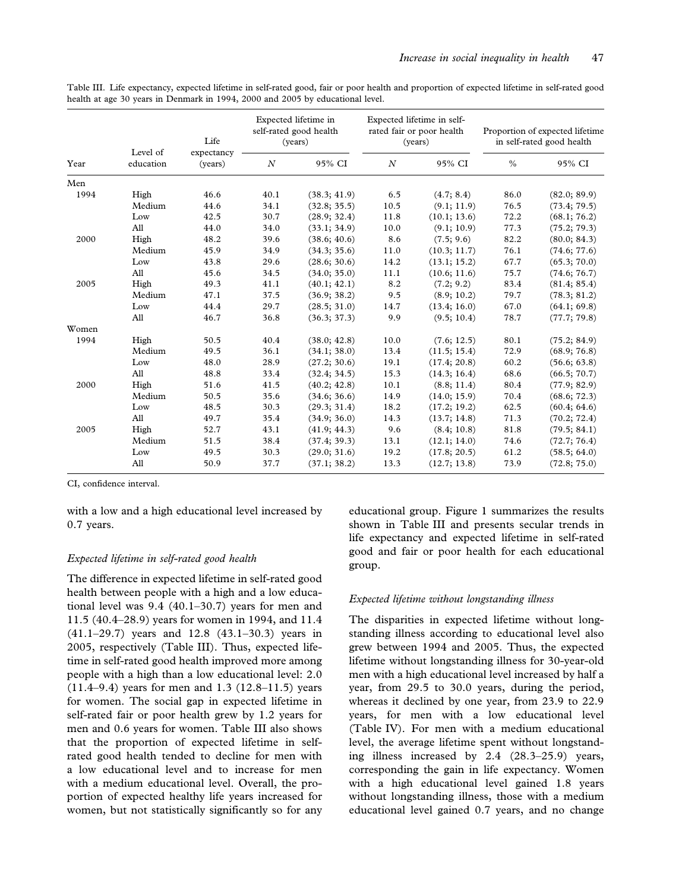|  | Table III. Life expectancy, expected lifetime in self-rated good, fair or poor health and proportion of expected lifetime in self-rated good |  |  |  |  |
|--|----------------------------------------------------------------------------------------------------------------------------------------------|--|--|--|--|
|  | health at age 30 years in Denmark in 1994, 2000 and 2005 by educational level.                                                               |  |  |  |  |

|       | Level of<br>education | Life                  | Expected lifetime in<br>self-rated good health<br>(years) |              |          | Expected lifetime in self-<br>rated fair or poor health<br>(years) | Proportion of expected lifetime<br>in self-rated good health |              |
|-------|-----------------------|-----------------------|-----------------------------------------------------------|--------------|----------|--------------------------------------------------------------------|--------------------------------------------------------------|--------------|
| Year  |                       | expectancy<br>(years) | $\cal N$                                                  | 95% CI       | $\cal N$ | 95% CI                                                             | $\%$                                                         | 95% CI       |
| Men   |                       |                       |                                                           |              |          |                                                                    |                                                              |              |
| 1994  | High                  | 46.6                  | 40.1                                                      | (38.3; 41.9) | 6.5      | (4.7; 8.4)                                                         | 86.0                                                         | (82.0; 89.9) |
|       | Medium                | 44.6                  | 34.1                                                      | (32.8; 35.5) | 10.5     | (9.1; 11.9)                                                        | 76.5                                                         | (73.4; 79.5) |
|       | Low                   | 42.5                  | 30.7                                                      | (28.9; 32.4) | 11.8     | (10.1; 13.6)                                                       | 72.2                                                         | (68.1; 76.2) |
|       | All                   | 44.0                  | 34.0                                                      | (33.1; 34.9) | 10.0     | (9.1; 10.9)                                                        | 77.3                                                         | (75.2; 79.3) |
| 2000  | High                  | 48.2                  | 39.6                                                      | (38.6; 40.6) | 8.6      | (7.5; 9.6)                                                         | 82.2                                                         | (80.0; 84.3) |
|       | Medium                | 45.9                  | 34.9                                                      | (34.3; 35.6) | 11.0     | (10.3; 11.7)                                                       | 76.1                                                         | (74.6; 77.6) |
|       | Low                   | 43.8                  | 29.6                                                      | (28.6; 30.6) | 14.2     | (13.1; 15.2)                                                       | 67.7                                                         | (65.3; 70.0) |
|       | All                   | 45.6                  | 34.5                                                      | (34.0; 35.0) | 11.1     | (10.6; 11.6)                                                       | 75.7                                                         | (74.6; 76.7) |
| 2005  | High                  | 49.3                  | 41.1                                                      | (40.1; 42.1) | 8.2      | (7.2; 9.2)                                                         | 83.4                                                         | (81.4; 85.4) |
|       | Medium                | 47.1                  | 37.5                                                      | (36.9; 38.2) | 9.5      | (8.9; 10.2)                                                        | 79.7                                                         | (78.3; 81.2) |
|       | Low                   | 44.4                  | 29.7                                                      | (28.5; 31.0) | 14.7     | (13.4; 16.0)                                                       | 67.0                                                         | (64.1; 69.8) |
|       | All                   | 46.7                  | 36.8                                                      | (36.3; 37.3) | 9.9      | (9.5; 10.4)                                                        | 78.7                                                         | (77.7; 79.8) |
| Women |                       |                       |                                                           |              |          |                                                                    |                                                              |              |
| 1994  | High                  | 50.5                  | 40.4                                                      | (38.0; 42.8) | 10.0     | (7.6; 12.5)                                                        | 80.1                                                         | (75.2; 84.9) |
|       | Medium                | 49.5                  | 36.1                                                      | (34.1; 38.0) | 13.4     | (11.5; 15.4)                                                       | 72.9                                                         | (68.9; 76.8) |
|       | Low                   | 48.0                  | 28.9                                                      | (27.2; 30.6) | 19.1     | (17.4; 20.8)                                                       | 60.2                                                         | (56.6; 63.8) |
|       | All                   | 48.8                  | 33.4                                                      | (32.4; 34.5) | 15.3     | (14.3; 16.4)                                                       | 68.6                                                         | (66.5; 70.7) |
| 2000  | High                  | 51.6                  | 41.5                                                      | (40.2; 42.8) | 10.1     | (8.8; 11.4)                                                        | 80.4                                                         | (77.9; 82.9) |
|       | Medium                | 50.5                  | 35.6                                                      | (34.6; 36.6) | 14.9     | (14.0; 15.9)                                                       | 70.4                                                         | (68.6; 72.3) |
|       | Low                   | 48.5                  | 30.3                                                      | (29.3; 31.4) | 18.2     | (17.2; 19.2)                                                       | 62.5                                                         | (60.4; 64.6) |
|       | All                   | 49.7                  | 35.4                                                      | (34.9; 36.0) | 14.3     | (13.7; 14.8)                                                       | 71.3                                                         | (70.2; 72.4) |
| 2005  | High                  | 52.7                  | 43.1                                                      | (41.9; 44.3) | 9.6      | (8.4; 10.8)                                                        | 81.8                                                         | (79.5; 84.1) |
|       | Medium                | 51.5                  | 38.4                                                      | (37.4; 39.3) | 13.1     | (12.1; 14.0)                                                       | 74.6                                                         | (72.7; 76.4) |
|       | Low                   | 49.5                  | 30.3                                                      | (29.0; 31.6) | 19.2     | (17.8; 20.5)                                                       | 61.2                                                         | (58.5; 64.0) |
|       | All                   | 50.9                  | 37.7                                                      | (37.1; 38.2) | 13.3     | (12.7; 13.8)                                                       | 73.9                                                         | (72.8; 75.0) |

CI, confidence interval.

with a low and a high educational level increased by 0.7 years.

#### Expected lifetime in self-rated good health

The difference in expected lifetime in self-rated good health between people with a high and a low educational level was 9.4 (40.1–30.7) years for men and 11.5 (40.4–28.9) years for women in 1994, and 11.4 (41.1–29.7) years and 12.8 (43.1–30.3) years in 2005, respectively (Table III). Thus, expected lifetime in self-rated good health improved more among people with a high than a low educational level: 2.0 (11.4–9.4) years for men and 1.3 (12.8–11.5) years for women. The social gap in expected lifetime in self-rated fair or poor health grew by 1.2 years for men and 0.6 years for women. Table III also shows that the proportion of expected lifetime in selfrated good health tended to decline for men with a low educational level and to increase for men with a medium educational level. Overall, the proportion of expected healthy life years increased for women, but not statistically significantly so for any educational group. Figure 1 summarizes the results shown in Table III and presents secular trends in life expectancy and expected lifetime in self-rated good and fair or poor health for each educational group.

#### Expected lifetime without longstanding illness

The disparities in expected lifetime without longstanding illness according to educational level also grew between 1994 and 2005. Thus, the expected lifetime without longstanding illness for 30-year-old men with a high educational level increased by half a year, from 29.5 to 30.0 years, during the period, whereas it declined by one year, from 23.9 to 22.9 years, for men with a low educational level (Table IV). For men with a medium educational level, the average lifetime spent without longstanding illness increased by 2.4 (28.3–25.9) years, corresponding the gain in life expectancy. Women with a high educational level gained 1.8 years without longstanding illness, those with a medium educational level gained 0.7 years, and no change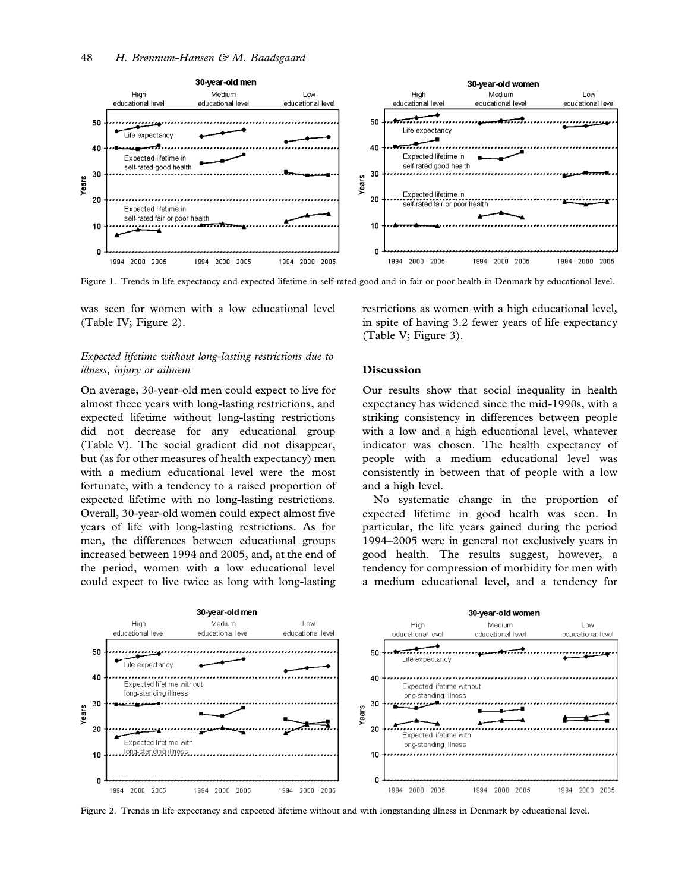

Figure 1. Trends in life expectancy and expected lifetime in self-rated good and in fair or poor health in Denmark by educational level.

was seen for women with a low educational level (Table IV; Figure 2).

#### Expected lifetime without long-lasting restrictions due to illness, injury or ailment

On average, 30-year-old men could expect to live for almost theee years with long-lasting restrictions, and expected lifetime without long-lasting restrictions did not decrease for any educational group (Table V). The social gradient did not disappear, but (as for other measures of health expectancy) men with a medium educational level were the most fortunate, with a tendency to a raised proportion of expected lifetime with no long-lasting restrictions. Overall, 30-year-old women could expect almost five years of life with long-lasting restrictions. As for men, the differences between educational groups increased between 1994 and 2005, and, at the end of the period, women with a low educational level could expect to live twice as long with long-lasting restrictions as women with a high educational level, in spite of having 3.2 fewer years of life expectancy (Table V; Figure 3).

#### Discussion

Our results show that social inequality in health expectancy has widened since the mid-1990s, with a striking consistency in differences between people with a low and a high educational level, whatever indicator was chosen. The health expectancy of people with a medium educational level was consistently in between that of people with a low and a high level.

No systematic change in the proportion of expected lifetime in good health was seen. In particular, the life years gained during the period 1994–2005 were in general not exclusively years in good health. The results suggest, however, a tendency for compression of morbidity for men with a medium educational level, and a tendency for



Figure 2. Trends in life expectancy and expected lifetime without and with longstanding illness in Denmark by educational level.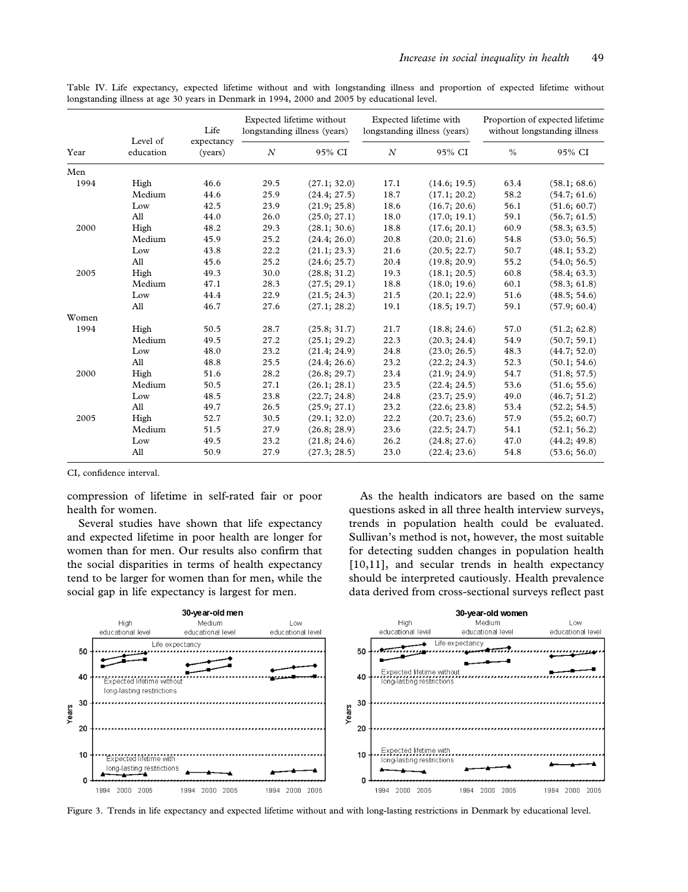Table IV. Life expectancy, expected lifetime without and with longstanding illness and proportion of expected lifetime without longstanding illness at age 30 years in Denmark in 1994, 2000 and 2005 by educational level.

|       |                       | Life                  |                  | Expected lifetime without<br>longstanding illness (years) |                  | Expected lifetime with<br>longstanding illness (years) |               | Proportion of expected lifetime<br>without longstanding illness |
|-------|-----------------------|-----------------------|------------------|-----------------------------------------------------------|------------------|--------------------------------------------------------|---------------|-----------------------------------------------------------------|
| Year  | Level of<br>education | expectancy<br>(years) | $\boldsymbol{N}$ | 95% CI                                                    | $\boldsymbol{N}$ | 95% CI                                                 | $\frac{0}{0}$ | 95% CI                                                          |
| Men   |                       |                       |                  |                                                           |                  |                                                        |               |                                                                 |
| 1994  | High                  | 46.6                  | 29.5             | (27.1; 32.0)                                              | 17.1             | (14.6; 19.5)                                           | 63.4          | (58.1; 68.6)                                                    |
|       | Medium                | 44.6                  | 25.9             | (24.4; 27.5)                                              | 18.7             | (17.1; 20.2)                                           | 58.2          | (54.7; 61.6)                                                    |
|       | Low                   | 42.5                  | 23.9             | (21.9; 25.8)                                              | 18.6             | (16.7; 20.6)                                           | 56.1          | (51.6; 60.7)                                                    |
|       | All                   | 44.0                  | 26.0             | (25.0; 27.1)                                              | 18.0             | (17.0; 19.1)                                           | 59.1          | (56.7; 61.5)                                                    |
| 2000  | High                  | 48.2                  | 29.3             | (28.1; 30.6)                                              | 18.8             | (17.6; 20.1)                                           | 60.9          | (58.3; 63.5)                                                    |
|       | Medium                | 45.9                  | 25.2             | (24.4; 26.0)                                              | 20.8             | (20.0; 21.6)                                           | 54.8          | (53.0; 56.5)                                                    |
|       | Low                   | 43.8                  | 22.2             | (21.1; 23.3)                                              | 21.6             | (20.5; 22.7)                                           | 50.7          | (48.1; 53.2)                                                    |
|       | All                   | 45.6                  | 25.2             | (24.6; 25.7)                                              | 20.4             | (19.8; 20.9)                                           | 55.2          | (54.0; 56.5)                                                    |
| 2005  | High                  | 49.3                  | 30.0             | (28.8; 31.2)                                              | 19.3             | (18.1; 20.5)                                           | 60.8          | (58.4; 63.3)                                                    |
|       | Medium                | 47.1                  | 28.3             | (27.5; 29.1)                                              | 18.8             | (18.0; 19.6)                                           | 60.1          | (58.3; 61.8)                                                    |
|       | Low                   | 44.4                  | 22.9             | (21.5; 24.3)                                              | 21.5             | (20.1; 22.9)                                           | 51.6          | (48.5; 54.6)                                                    |
|       | All                   | 46.7                  | 27.6             | (27.1; 28.2)                                              | 19.1             | (18.5; 19.7)                                           | 59.1          | (57.9; 60.4)                                                    |
| Women |                       |                       |                  |                                                           |                  |                                                        |               |                                                                 |
| 1994  | High                  | 50.5                  | 28.7             | (25.8; 31.7)                                              | 21.7             | (18.8; 24.6)                                           | 57.0          | (51.2; 62.8)                                                    |
|       | Medium                | 49.5                  | 27.2             | (25.1; 29.2)                                              | 22.3             | (20.3; 24.4)                                           | 54.9          | (50.7; 59.1)                                                    |
|       | Low                   | 48.0                  | 23.2             | (21.4; 24.9)                                              | 24.8             | (23.0; 26.5)                                           | 48.3          | (44.7; 52.0)                                                    |
|       | All                   | 48.8                  | 25.5             | (24.4; 26.6)                                              | 23.2             | (22.2; 24.3)                                           | 52.3          | (50.1; 54.6)                                                    |
| 2000  | High                  | 51.6                  | 28.2             | (26.8; 29.7)                                              | 23.4             | (21.9; 24.9)                                           | 54.7          | (51.8; 57.5)                                                    |
|       | Medium                | 50.5                  | 27.1             | (26.1; 28.1)                                              | 23.5             | (22.4; 24.5)                                           | 53.6          | (51.6; 55.6)                                                    |
|       | Low                   | 48.5                  | 23.8             | (22.7; 24.8)                                              | 24.8             | (23.7; 25.9)                                           | 49.0          | (46.7; 51.2)                                                    |
|       | All                   | 49.7                  | 26.5             | (25.9; 27.1)                                              | 23.2             | (22.6; 23.8)                                           | 53.4          | (52.2; 54.5)                                                    |
| 2005  | High                  | 52.7                  | 30.5             | (29.1; 32.0)                                              | 22.2             | (20.7; 23.6)                                           | 57.9          | (55.2; 60.7)                                                    |
|       | Medium                | 51.5                  | 27.9             | (26.8; 28.9)                                              | 23.6             | (22.5; 24.7)                                           | 54.1          | (52.1; 56.2)                                                    |
|       | Low                   | 49.5                  | 23.2             | (21.8; 24.6)                                              | 26.2             | (24.8; 27.6)                                           | 47.0          | (44.2; 49.8)                                                    |
|       | All                   | 50.9                  | 27.9             | (27.3; 28.5)                                              | 23.0             | (22.4; 23.6)                                           | 54.8          | (53.6; 56.0)                                                    |

CI, confidence interval.

compression of lifetime in self-rated fair or poor health for women.

Several studies have shown that life expectancy and expected lifetime in poor health are longer for women than for men. Our results also confirm that the social disparities in terms of health expectancy tend to be larger for women than for men, while the social gap in life expectancy is largest for men.

As the health indicators are based on the same questions asked in all three health interview surveys, trends in population health could be evaluated. Sullivan's method is not, however, the most suitable for detecting sudden changes in population health [10,11], and secular trends in health expectancy should be interpreted cautiously. Health prevalence data derived from cross-sectional surveys reflect past



Figure 3. Trends in life expectancy and expected lifetime without and with long-lasting restrictions in Denmark by educational level.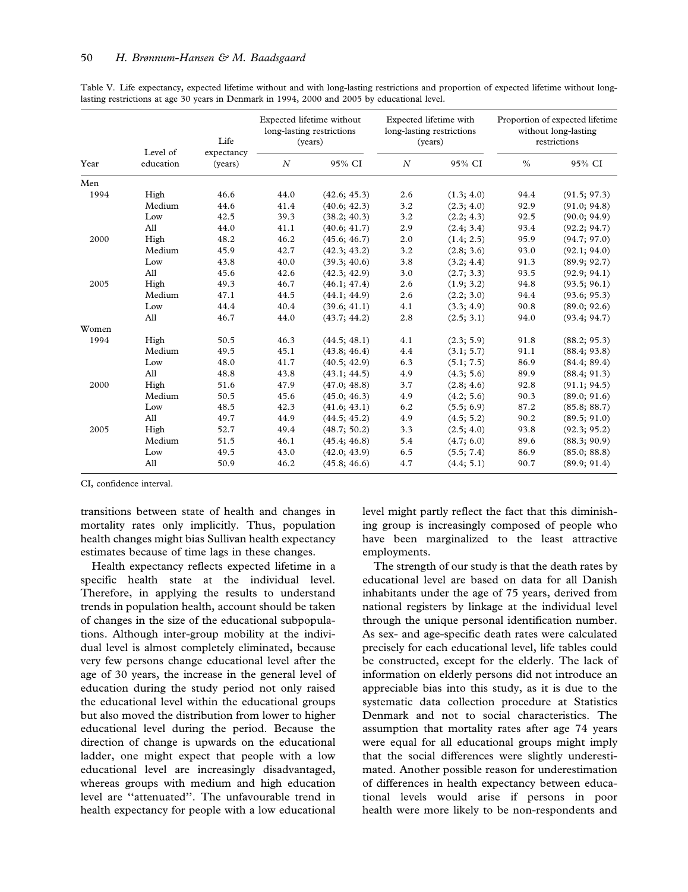|       | Level of<br>education | Life                  | Expected lifetime without<br>long-lasting restrictions<br>(years) |              | Expected lifetime with<br>long-lasting restrictions<br>(years) |            | Proportion of expected lifetime<br>without long-lasting<br>restrictions |              |
|-------|-----------------------|-----------------------|-------------------------------------------------------------------|--------------|----------------------------------------------------------------|------------|-------------------------------------------------------------------------|--------------|
| Year  |                       | expectancy<br>(years) | $\boldsymbol{N}$                                                  | 95% CI       | $\cal N$                                                       | 95% CI     | $\%$                                                                    | 95% CI       |
| Men   |                       |                       |                                                                   |              |                                                                |            |                                                                         |              |
| 1994  | High                  | 46.6                  | 44.0                                                              | (42.6; 45.3) | 2.6                                                            | (1.3; 4.0) | 94.4                                                                    | (91.5; 97.3) |
|       | Medium                | 44.6                  | 41.4                                                              | (40.6; 42.3) | 3.2                                                            | (2.3; 4.0) | 92.9                                                                    | (91.0; 94.8) |
|       | Low                   | 42.5                  | 39.3                                                              | (38.2; 40.3) | 3.2                                                            | (2.2; 4.3) | 92.5                                                                    | (90.0; 94.9) |
|       | All                   | 44.0                  | 41.1                                                              | (40.6; 41.7) | 2.9                                                            | (2.4; 3.4) | 93.4                                                                    | (92.2; 94.7) |
| 2000  | High                  | 48.2                  | 46.2                                                              | (45.6; 46.7) | 2.0                                                            | (1.4; 2.5) | 95.9                                                                    | (94.7; 97.0) |
|       | Medium                | 45.9                  | 42.7                                                              | (42.3; 43.2) | 3.2                                                            | (2.8; 3.6) | 93.0                                                                    | (92.1; 94.0) |
|       | Low                   | 43.8                  | 40.0                                                              | (39.3; 40.6) | 3.8                                                            | (3.2; 4.4) | 91.3                                                                    | (89.9; 92.7) |
|       | All                   | 45.6                  | 42.6                                                              | (42.3; 42.9) | 3.0                                                            | (2.7; 3.3) | 93.5                                                                    | (92.9; 94.1) |
| 2005  | High                  | 49.3                  | 46.7                                                              | (46.1; 47.4) | 2.6                                                            | (1.9; 3.2) | 94.8                                                                    | (93.5; 96.1) |
|       | Medium                | 47.1                  | 44.5                                                              | (44.1; 44.9) | 2.6                                                            | (2.2; 3.0) | 94.4                                                                    | (93.6; 95.3) |
|       | Low                   | 44.4                  | 40.4                                                              | (39.6; 41.1) | 4.1                                                            | (3.3; 4.9) | 90.8                                                                    | (89.0; 92.6) |
|       | All                   | 46.7                  | 44.0                                                              | (43.7; 44.2) | 2.8                                                            | (2.5; 3.1) | 94.0                                                                    | (93.4; 94.7) |
| Women |                       |                       |                                                                   |              |                                                                |            |                                                                         |              |
| 1994  | High                  | 50.5                  | 46.3                                                              | (44.5; 48.1) | 4.1                                                            | (2.3; 5.9) | 91.8                                                                    | (88.2; 95.3) |
|       | Medium                | 49.5                  | 45.1                                                              | (43.8; 46.4) | 4.4                                                            | (3.1; 5.7) | 91.1                                                                    | (88.4; 93.8) |
|       | Low                   | 48.0                  | 41.7                                                              | (40.5; 42.9) | 6.3                                                            | (5.1; 7.5) | 86.9                                                                    | (84.4; 89.4) |
|       | All                   | 48.8                  | 43.8                                                              | (43.1; 44.5) | 4.9                                                            | (4.3; 5.6) | 89.9                                                                    | (88.4; 91.3) |
| 2000  | High                  | 51.6                  | 47.9                                                              | (47.0; 48.8) | 3.7                                                            | (2.8; 4.6) | 92.8                                                                    | (91.1; 94.5) |
|       | Medium                | 50.5                  | 45.6                                                              | (45.0; 46.3) | 4.9                                                            | (4.2; 5.6) | 90.3                                                                    | (89.0; 91.6) |
|       | Low                   | 48.5                  | 42.3                                                              | (41.6; 43.1) | 6.2                                                            | (5.5; 6.9) | 87.2                                                                    | (85.8; 88.7) |
|       | All                   | 49.7                  | 44.9                                                              | (44.5; 45.2) | 4.9                                                            | (4.5; 5.2) | 90.2                                                                    | (89.5; 91.0) |
| 2005  | High                  | 52.7                  | 49.4                                                              | (48.7; 50.2) | 3.3                                                            | (2.5; 4.0) | 93.8                                                                    | (92.3; 95.2) |
|       | Medium                | 51.5                  | 46.1                                                              | (45.4; 46.8) | 5.4                                                            | (4.7; 6.0) | 89.6                                                                    | (88.3; 90.9) |
|       | Low                   | 49.5                  | 43.0                                                              | (42.0; 43.9) | 6.5                                                            | (5.5; 7.4) | 86.9                                                                    | (85.0; 88.8) |
|       | All                   | 50.9                  | 46.2                                                              | (45.8; 46.6) | 4.7                                                            | (4.4; 5.1) | 90.7                                                                    | (89.9; 91.4) |

Table V. Life expectancy, expected lifetime without and with long-lasting restrictions and proportion of expected lifetime without longlasting restrictions at age 30 years in Denmark in 1994, 2000 and 2005 by educational level.

CI, confidence interval.

transitions between state of health and changes in mortality rates only implicitly. Thus, population health changes might bias Sullivan health expectancy estimates because of time lags in these changes.

Health expectancy reflects expected lifetime in a specific health state at the individual level. Therefore, in applying the results to understand trends in population health, account should be taken of changes in the size of the educational subpopulations. Although inter-group mobility at the individual level is almost completely eliminated, because very few persons change educational level after the age of 30 years, the increase in the general level of education during the study period not only raised the educational level within the educational groups but also moved the distribution from lower to higher educational level during the period. Because the direction of change is upwards on the educational ladder, one might expect that people with a low educational level are increasingly disadvantaged, whereas groups with medium and high education level are ''attenuated''. The unfavourable trend in health expectancy for people with a low educational level might partly reflect the fact that this diminishing group is increasingly composed of people who have been marginalized to the least attractive employments.

The strength of our study is that the death rates by educational level are based on data for all Danish inhabitants under the age of 75 years, derived from national registers by linkage at the individual level through the unique personal identification number. As sex- and age-specific death rates were calculated precisely for each educational level, life tables could be constructed, except for the elderly. The lack of information on elderly persons did not introduce an appreciable bias into this study, as it is due to the systematic data collection procedure at Statistics Denmark and not to social characteristics. The assumption that mortality rates after age 74 years were equal for all educational groups might imply that the social differences were slightly underestimated. Another possible reason for underestimation of differences in health expectancy between educational levels would arise if persons in poor health were more likely to be non-respondents and